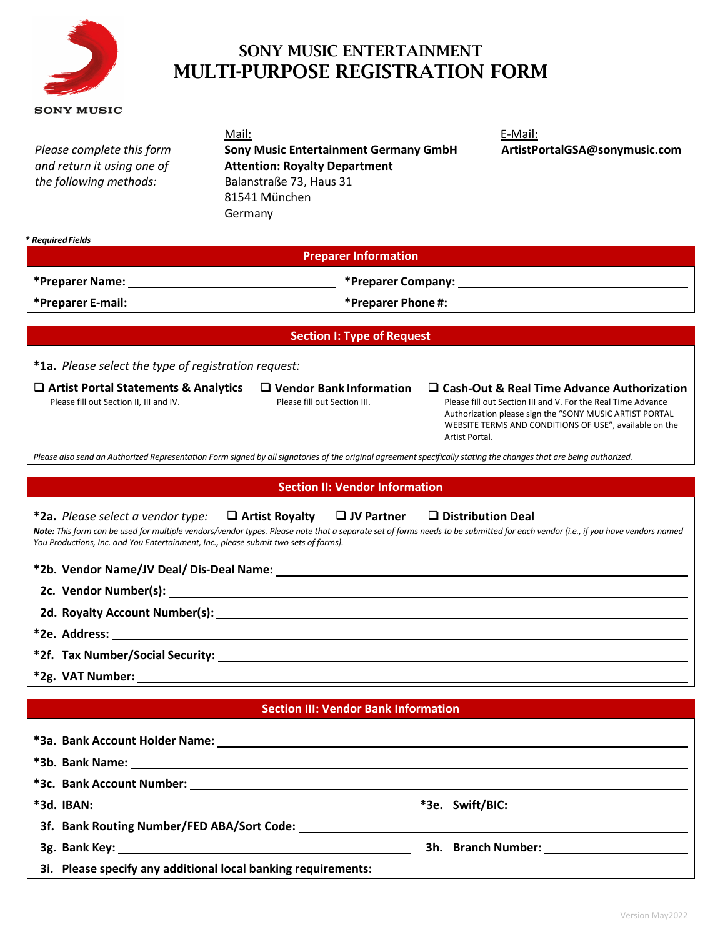

# SONY MUSIC ENTERTAINMENT MULTI-PURPOSE REGISTRATION FORM

| <b>SONY MUSIC</b>                                                                                                         |                                                                                                                                                                    |                                                                                                                                                                                                                                                          |  |  |  |  |
|---------------------------------------------------------------------------------------------------------------------------|--------------------------------------------------------------------------------------------------------------------------------------------------------------------|----------------------------------------------------------------------------------------------------------------------------------------------------------------------------------------------------------------------------------------------------------|--|--|--|--|
| Please complete this form<br>and return it using one of<br>the following methods:                                         | Mail:<br><b>Sony Music Entertainment Germany GmbH</b><br><b>Attention: Royalty Department</b><br>Balanstraße 73, Haus 31<br>81541 München<br>Germany               | E-Mail:<br>ArtistPortalGSA@sonymusic.com                                                                                                                                                                                                                 |  |  |  |  |
| * Required Fields                                                                                                         | <b>Preparer Information</b>                                                                                                                                        |                                                                                                                                                                                                                                                          |  |  |  |  |
|                                                                                                                           |                                                                                                                                                                    |                                                                                                                                                                                                                                                          |  |  |  |  |
|                                                                                                                           |                                                                                                                                                                    |                                                                                                                                                                                                                                                          |  |  |  |  |
|                                                                                                                           |                                                                                                                                                                    |                                                                                                                                                                                                                                                          |  |  |  |  |
|                                                                                                                           | <b>Section I: Type of Request</b>                                                                                                                                  |                                                                                                                                                                                                                                                          |  |  |  |  |
| *1a. Please select the type of registration request:                                                                      |                                                                                                                                                                    |                                                                                                                                                                                                                                                          |  |  |  |  |
| $\Box$ Artist Portal Statements & Analytics<br>Please fill out Section II, III and IV.                                    | $\Box$ Vendor Bank Information<br>Please fill out Section III.                                                                                                     | $\Box$ Cash-Out & Real Time Advance Authorization<br>Please fill out Section III and V. For the Real Time Advance<br>Authorization please sign the "SONY MUSIC ARTIST PORTAL<br>WEBSITE TERMS AND CONDITIONS OF USE", available on the<br>Artist Portal. |  |  |  |  |
|                                                                                                                           | Please also send an Authorized Representation Form signed by all signatories of the original agreement specifically stating the changes that are being authorized. |                                                                                                                                                                                                                                                          |  |  |  |  |
|                                                                                                                           | <b>Section II: Vendor Information</b>                                                                                                                              |                                                                                                                                                                                                                                                          |  |  |  |  |
| *2a. Please select a vendor type:<br>You Productions, Inc. and You Entertainment, Inc., please submit two sets of forms). | $\Box$ Artist Royalty $\Box$ JV Partner                                                                                                                            | $\Box$ Distribution Deal<br>Note: This form can be used for multiple vendors/vendor types. Please note that a separate set of forms needs to be submitted for each vendor (i.e., if you have vendors named                                               |  |  |  |  |
|                                                                                                                           |                                                                                                                                                                    |                                                                                                                                                                                                                                                          |  |  |  |  |
|                                                                                                                           |                                                                                                                                                                    |                                                                                                                                                                                                                                                          |  |  |  |  |
|                                                                                                                           | 2d. Royalty Account Number(s): North and the set of the set of the set of the set of the set of the set of the                                                     |                                                                                                                                                                                                                                                          |  |  |  |  |
| *2e. Address:                                                                                                             |                                                                                                                                                                    |                                                                                                                                                                                                                                                          |  |  |  |  |
|                                                                                                                           |                                                                                                                                                                    |                                                                                                                                                                                                                                                          |  |  |  |  |
|                                                                                                                           |                                                                                                                                                                    |                                                                                                                                                                                                                                                          |  |  |  |  |
|                                                                                                                           | <b>Section III: Vendor Bank Information</b>                                                                                                                        |                                                                                                                                                                                                                                                          |  |  |  |  |
|                                                                                                                           |                                                                                                                                                                    |                                                                                                                                                                                                                                                          |  |  |  |  |
|                                                                                                                           |                                                                                                                                                                    |                                                                                                                                                                                                                                                          |  |  |  |  |
|                                                                                                                           |                                                                                                                                                                    |                                                                                                                                                                                                                                                          |  |  |  |  |
|                                                                                                                           |                                                                                                                                                                    |                                                                                                                                                                                                                                                          |  |  |  |  |
|                                                                                                                           |                                                                                                                                                                    |                                                                                                                                                                                                                                                          |  |  |  |  |

**3f. Bank Routing Number/FED ABA/Sort Code: 3g. Bank Key: 3h. Branch Number:** 

**3i. Please specify any additional local banking requirements:**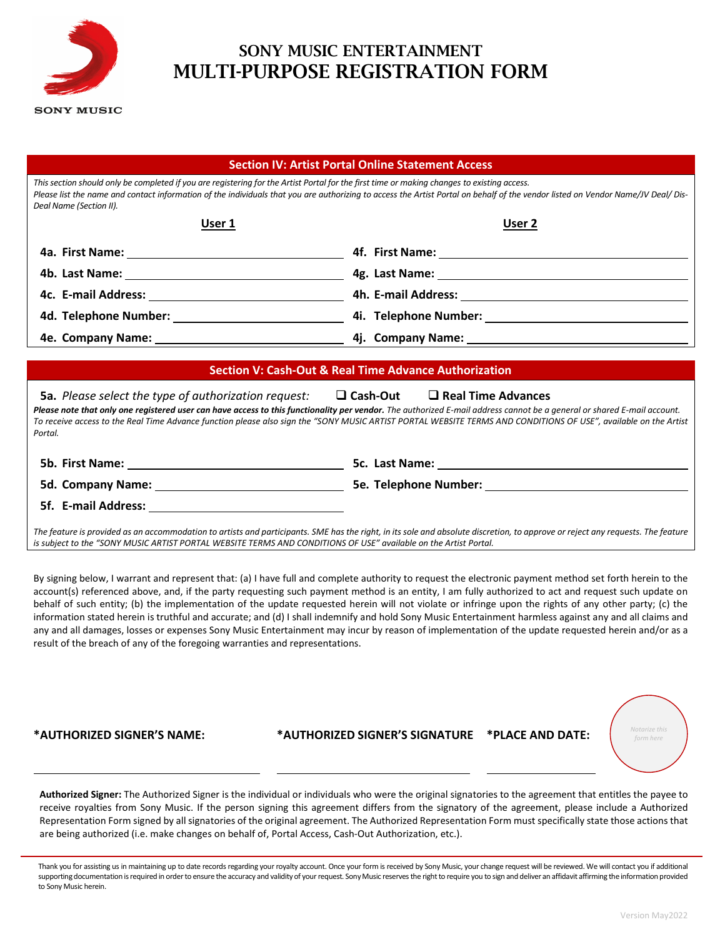

## SONY MUSIC ENTERTAINMENT MULTI-PURPOSE REGISTRATION FORM

#### **Section IV: Artist Portal Online Statement Access**

*This section should only be completed if you are registering for the Artist Portal for the first time or making changes to existing access.* Please list the name and contact information of the individuals that you are authorizing to access the Artist Portal on behalf of the vendor listed on Vendor Name/JV Deal/ Dis-*Deal Name (Section II).* 

| User 1 | User 2                                                                                                        |
|--------|---------------------------------------------------------------------------------------------------------------|
|        | 4f. First Name: 2008. 2009. 2009. 2012. 2013. 2014. 2015. 2016. 2017. 2018. 2019. 2014. 2016. 2017. 2017. 201 |
|        |                                                                                                               |
|        |                                                                                                               |
|        |                                                                                                               |
|        |                                                                                                               |

#### **Section V: Cash-Out & Real Time Advance Authorization**

**5a.** *Please select the type of authorization request:*  **Cash-Out Real Time Advances** *Please note that only one registered user can have access to this functionality per vendor. The authorized E-mail address cannot be a general or shared E-mail account. To receive access to the Real Time Advance function please also sign the "SONY MUSIC ARTIST PORTAL WEBSITE TERMS AND CONDITIONS OF USE", available on the Artist Portal.* 

| <b>5b. First Name:</b> | 5c. Last Name:               |
|------------------------|------------------------------|
| 5d. Company Name:      | <b>5e. Telephone Number:</b> |
| 5f. E-mail Address:    |                              |

*The feature is provided as an accommodation to artists and participants. SME has the right, in its sole and absolute discretion, to approve or reject any requests. The feature is subject to the "SONY MUSIC ARTIST PORTAL WEBSITE TERMS AND CONDITIONS OF USE" available on the Artist Portal.* 

By signing below, I warrant and represent that: (a) I have full and complete authority to request the electronic payment method set forth herein to the account(s) referenced above, and, if the party requesting such payment method is an entity, I am fully authorized to act and request such update on behalf of such entity; (b) the implementation of the update requested herein will not violate or infringe upon the rights of any other party; (c) the information stated herein is truthful and accurate; and (d) I shall indemnify and hold Sony Music Entertainment harmless against any and all claims and any and all damages, losses or expenses Sony Music Entertainment may incur by reason of implementation of the update requested herein and/or as a result of the breach of any of the foregoing warranties and representations.

**\*AUTHORIZED SIGNER'S NAME: \*AUTHORIZED SIGNER'S SIGNATURE \*PLACE AND DATE:**



**Authorized Signer:** The Authorized Signer is the individual or individuals who were the original signatories to the agreement that entitles the payee to receive royalties from Sony Music. If the person signing this agreement differs from the signatory of the agreement, please include a Authorized Representation Form signed by all signatories of the original agreement. The Authorized Representation Form must specifically state those actions that are being authorized (i.e. make changes on behalf of, Portal Access, Cash-Out Authorization, etc.).

Thank you for assisting us in maintaining up to date records regarding your royalty account. Once your form is received by Sony Music, your change request will be reviewed. We will contact you if additional supporting documentation is required in order to ensure the accuracy and validity of your request. Sony Music reserves the right to require you to sign and deliver an affidavit affirming the information provided to Sony Music herein.